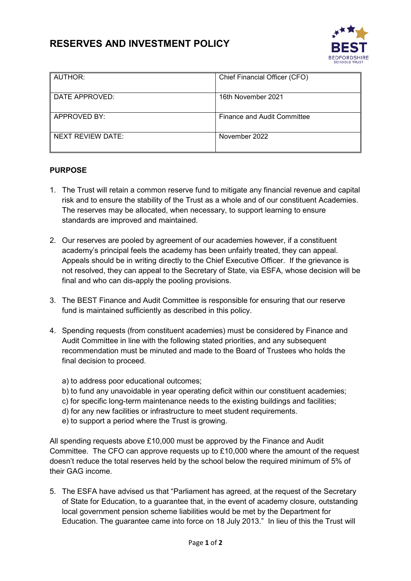# **RESERVES AND INVESTMENT POLICY**



| AUTHOR:             | Chief Financial Officer (CFO) |
|---------------------|-------------------------------|
| DATE APPROVED:      | 16th November 2021            |
| <b>APPROVED BY:</b> | Finance and Audit Committee   |
| NEXT REVIEW DATE:   | November 2022                 |

# **PURPOSE**

- 1. The Trust will retain a common reserve fund to mitigate any financial revenue and capital risk and to ensure the stability of the Trust as a whole and of our constituent Academies. The reserves may be allocated, when necessary, to support learning to ensure standards are improved and maintained.
- 2. Our reserves are pooled by agreement of our academies however, if a constituent academy's principal feels the academy has been unfairly treated, they can appeal. Appeals should be in writing directly to the Chief Executive Officer. If the grievance is not resolved, they can appeal to the Secretary of State, via ESFA, whose decision will be final and who can dis-apply the pooling provisions.
- 3. The BEST Finance and Audit Committee is responsible for ensuring that our reserve fund is maintained sufficiently as described in this policy.
- 4. Spending requests (from constituent academies) must be considered by Finance and Audit Committee in line with the following stated priorities, and any subsequent recommendation must be minuted and made to the Board of Trustees who holds the final decision to proceed.
	- a) to address poor educational outcomes;
	- b) to fund any unavoidable in year operating deficit within our constituent academies;
	- c) for specific long-term maintenance needs to the existing buildings and facilities;
	- d) for any new facilities or infrastructure to meet student requirements.
	- e) to support a period where the Trust is growing.

All spending requests above £10,000 must be approved by the Finance and Audit Committee. The CFO can approve requests up to  $£10,000$  where the amount of the request doesn't reduce the total reserves held by the school below the required minimum of 5% of their GAG income.

5. The ESFA have advised us that "Parliament has agreed, at the request of the Secretary of State for Education, to a guarantee that, in the event of academy closure, outstanding local government pension scheme liabilities would be met by the Department for Education. The guarantee came into force on 18 July 2013." In lieu of this the Trust will